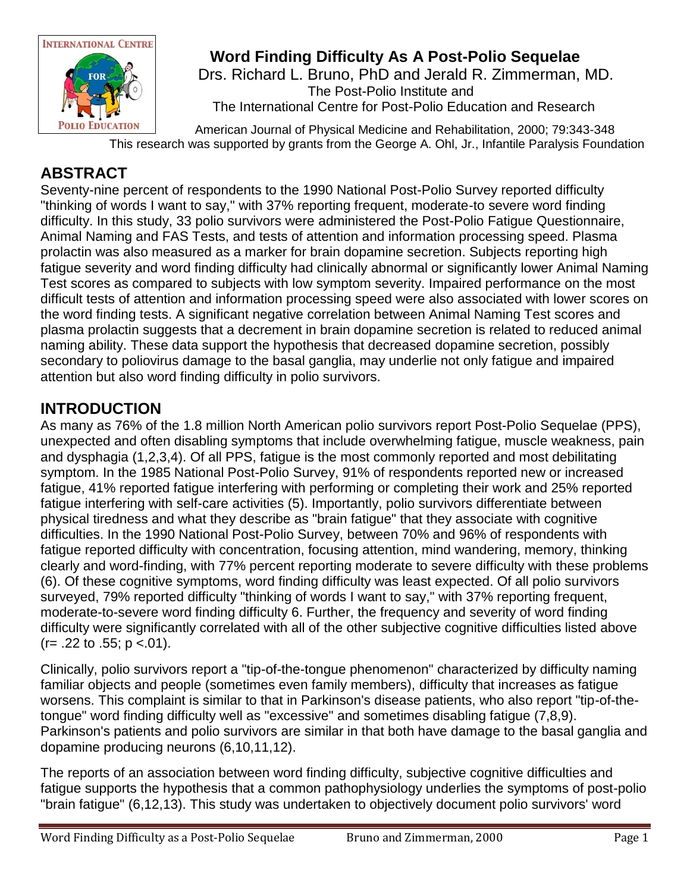

## **Word Finding Difficulty As A Post-Polio Sequelae**

 Drs. Richard L. Bruno, PhD and Jerald R. Zimmerman, MD. The Post-Polio Institute and The International Centre for Post-Polio Education and Research

 American Journal of Physical Medicine and Rehabilitation, 2000; 79:343-348 This research was supported by grants from the George A. Ohl, Jr., Infantile Paralysis Foundation

#### **ABSTRACT**

Seventy-nine percent of respondents to the 1990 National Post-Polio Survey reported difficulty "thinking of words I want to say," with 37% reporting frequent, moderate-to severe word finding difficulty. In this study, 33 polio survivors were administered the Post-Polio Fatigue Questionnaire, Animal Naming and FAS Tests, and tests of attention and information processing speed. Plasma prolactin was also measured as a marker for brain dopamine secretion. Subjects reporting high fatigue severity and word finding difficulty had clinically abnormal or significantly lower Animal Naming Test scores as compared to subjects with low symptom severity. Impaired performance on the most difficult tests of attention and information processing speed were also associated with lower scores on the word finding tests. A significant negative correlation between Animal Naming Test scores and plasma prolactin suggests that a decrement in brain dopamine secretion is related to reduced animal naming ability. These data support the hypothesis that decreased dopamine secretion, possibly secondary to poliovirus damage to the basal ganglia, may underlie not only fatigue and impaired attention but also word finding difficulty in polio survivors.

### **INTRODUCTION**

As many as 76% of the 1.8 million North American polio survivors report Post-Polio Sequelae (PPS), unexpected and often disabling symptoms that include overwhelming fatigue, muscle weakness, pain and dysphagia (1,2,3,4). Of all PPS, fatigue is the most commonly reported and most debilitating symptom. In the 1985 National Post-Polio Survey, 91% of respondents reported new or increased fatigue, 41% reported fatigue interfering with performing or completing their work and 25% reported fatigue interfering with self-care activities (5). Importantly, polio survivors differentiate between physical tiredness and what they describe as "brain fatigue" that they associate with cognitive difficulties. In the 1990 National Post-Polio Survey, between 70% and 96% of respondents with fatigue reported difficulty with concentration, focusing attention, mind wandering, memory, thinking clearly and word-finding, with 77% percent reporting moderate to severe difficulty with these problems (6). Of these cognitive symptoms, word finding difficulty was least expected. Of all polio survivors surveyed, 79% reported difficulty "thinking of words I want to say," with 37% reporting frequent, moderate-to-severe word finding difficulty 6. Further, the frequency and severity of word finding difficulty were significantly correlated with all of the other subjective cognitive difficulties listed above  $(r= .22 \text{ to } .55; p < .01).$ 

Clinically, polio survivors report a "tip-of-the-tongue phenomenon" characterized by difficulty naming familiar objects and people (sometimes even family members), difficulty that increases as fatigue worsens. This complaint is similar to that in Parkinson's disease patients, who also report "tip-of-thetongue" word finding difficulty well as "excessive" and sometimes disabling fatigue (7,8,9). Parkinson's patients and polio survivors are similar in that both have damage to the basal ganglia and dopamine producing neurons (6,10,11,12).

The reports of an association between word finding difficulty, subjective cognitive difficulties and fatigue supports the hypothesis that a common pathophysiology underlies the symptoms of post-polio "brain fatigue" (6,12,13). This study was undertaken to objectively document polio survivors' word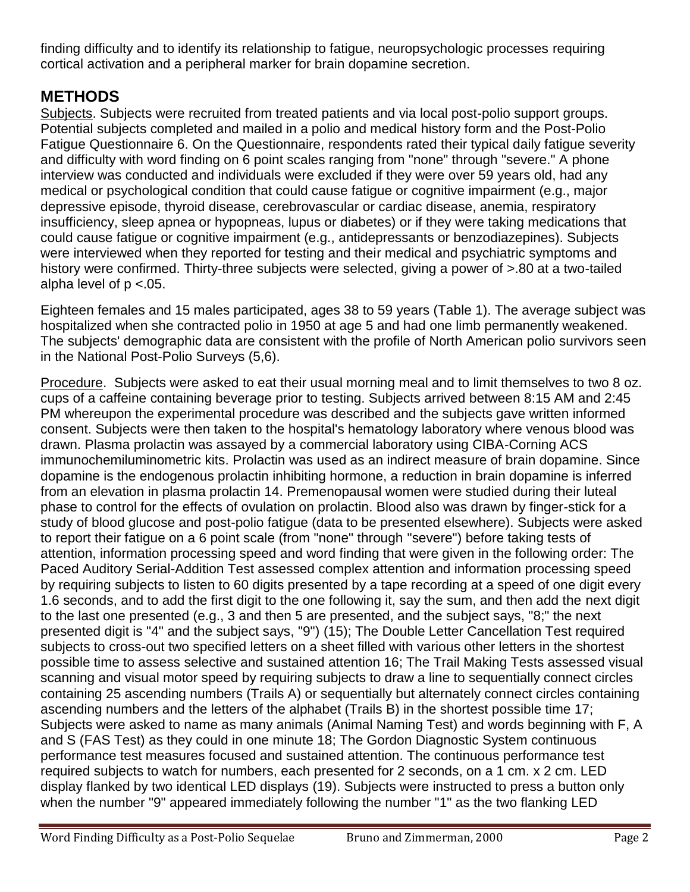finding difficulty and to identify its relationship to fatigue, neuropsychologic processes requiring cortical activation and a peripheral marker for brain dopamine secretion.

### **METHODS**

Subjects. Subjects were recruited from treated patients and via local post-polio support groups. Potential subjects completed and mailed in a polio and medical history form and the Post-Polio Fatigue Questionnaire 6. On the Questionnaire, respondents rated their typical daily fatigue severity and difficulty with word finding on 6 point scales ranging from "none" through "severe." A phone interview was conducted and individuals were excluded if they were over 59 years old, had any medical or psychological condition that could cause fatigue or cognitive impairment (e.g., major depressive episode, thyroid disease, cerebrovascular or cardiac disease, anemia, respiratory insufficiency, sleep apnea or hypopneas, lupus or diabetes) or if they were taking medications that could cause fatigue or cognitive impairment (e.g., antidepressants or benzodiazepines). Subjects were interviewed when they reported for testing and their medical and psychiatric symptoms and history were confirmed. Thirty-three subjects were selected, giving a power of >.80 at a two-tailed alpha level of  $p < 0.05$ .

Eighteen females and 15 males participated, ages 38 to 59 years (Table 1). The average subject was hospitalized when she contracted polio in 1950 at age 5 and had one limb permanently weakened. The subjects' demographic data are consistent with the profile of North American polio survivors seen in the National Post-Polio Surveys (5,6).

Procedure. Subjects were asked to eat their usual morning meal and to limit themselves to two 8 oz. cups of a caffeine containing beverage prior to testing. Subjects arrived between 8:15 AM and 2:45 PM whereupon the experimental procedure was described and the subjects gave written informed consent. Subjects were then taken to the hospital's hematology laboratory where venous blood was drawn. Plasma prolactin was assayed by a commercial laboratory using CIBA-Corning ACS immunochemiluminometric kits. Prolactin was used as an indirect measure of brain dopamine. Since dopamine is the endogenous prolactin inhibiting hormone, a reduction in brain dopamine is inferred from an elevation in plasma prolactin 14. Premenopausal women were studied during their luteal phase to control for the effects of ovulation on prolactin. Blood also was drawn by finger-stick for a study of blood glucose and post-polio fatigue (data to be presented elsewhere). Subjects were asked to report their fatigue on a 6 point scale (from "none" through "severe") before taking tests of attention, information processing speed and word finding that were given in the following order: The Paced Auditory Serial-Addition Test assessed complex attention and information processing speed by requiring subjects to listen to 60 digits presented by a tape recording at a speed of one digit every 1.6 seconds, and to add the first digit to the one following it, say the sum, and then add the next digit to the last one presented (e.g., 3 and then 5 are presented, and the subject says, "8;" the next presented digit is "4" and the subject says, "9") (15); The Double Letter Cancellation Test required subjects to cross-out two specified letters on a sheet filled with various other letters in the shortest possible time to assess selective and sustained attention 16; The Trail Making Tests assessed visual scanning and visual motor speed by requiring subjects to draw a line to sequentially connect circles containing 25 ascending numbers (Trails A) or sequentially but alternately connect circles containing ascending numbers and the letters of the alphabet (Trails B) in the shortest possible time 17; Subjects were asked to name as many animals (Animal Naming Test) and words beginning with F, A and S (FAS Test) as they could in one minute 18; The Gordon Diagnostic System continuous performance test measures focused and sustained attention. The continuous performance test required subjects to watch for numbers, each presented for 2 seconds, on a 1 cm. x 2 cm. LED display flanked by two identical LED displays (19). Subjects were instructed to press a button only when the number "9" appeared immediately following the number "1" as the two flanking LED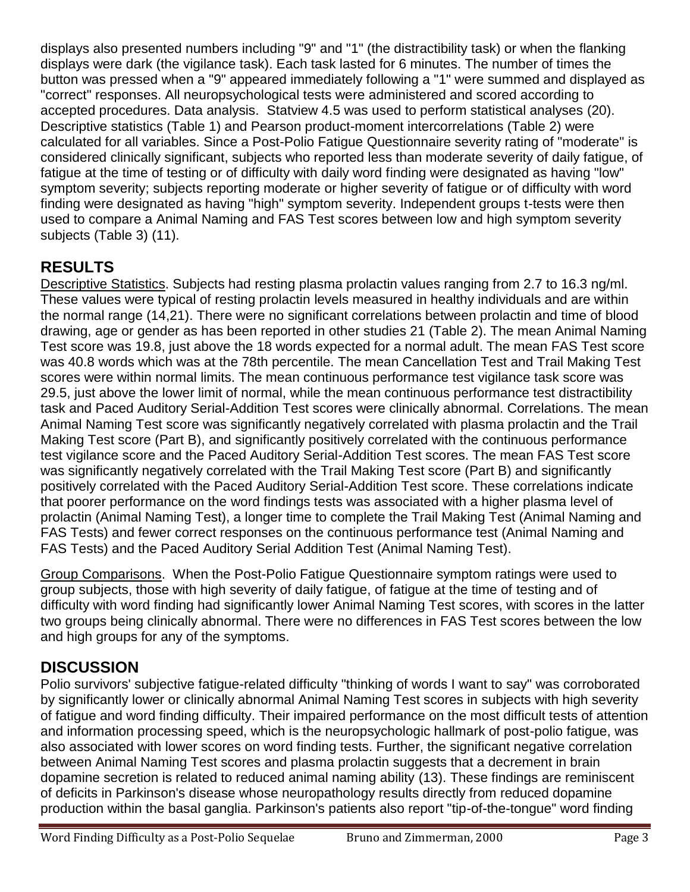displays also presented numbers including "9" and "1" (the distractibility task) or when the flanking displays were dark (the vigilance task). Each task lasted for 6 minutes. The number of times the button was pressed when a "9" appeared immediately following a "1" were summed and displayed as "correct" responses. All neuropsychological tests were administered and scored according to accepted procedures. Data analysis. Statview 4.5 was used to perform statistical analyses (20). Descriptive statistics (Table 1) and Pearson product-moment intercorrelations (Table 2) were calculated for all variables. Since a Post-Polio Fatigue Questionnaire severity rating of "moderate" is considered clinically significant, subjects who reported less than moderate severity of daily fatigue, of fatigue at the time of testing or of difficulty with daily word finding were designated as having "low" symptom severity; subjects reporting moderate or higher severity of fatigue or of difficulty with word finding were designated as having "high" symptom severity. Independent groups t-tests were then used to compare a Animal Naming and FAS Test scores between low and high symptom severity subjects (Table 3) (11).

# **RESULTS**

Descriptive Statistics. Subjects had resting plasma prolactin values ranging from 2.7 to 16.3 ng/ml. These values were typical of resting prolactin levels measured in healthy individuals and are within the normal range (14,21). There were no significant correlations between prolactin and time of blood drawing, age or gender as has been reported in other studies 21 (Table 2). The mean Animal Naming Test score was 19.8, just above the 18 words expected for a normal adult. The mean FAS Test score was 40.8 words which was at the 78th percentile. The mean Cancellation Test and Trail Making Test scores were within normal limits. The mean continuous performance test vigilance task score was 29.5, just above the lower limit of normal, while the mean continuous performance test distractibility task and Paced Auditory Serial-Addition Test scores were clinically abnormal. Correlations. The mean Animal Naming Test score was significantly negatively correlated with plasma prolactin and the Trail Making Test score (Part B), and significantly positively correlated with the continuous performance test vigilance score and the Paced Auditory Serial-Addition Test scores. The mean FAS Test score was significantly negatively correlated with the Trail Making Test score (Part B) and significantly positively correlated with the Paced Auditory Serial-Addition Test score. These correlations indicate that poorer performance on the word findings tests was associated with a higher plasma level of prolactin (Animal Naming Test), a longer time to complete the Trail Making Test (Animal Naming and FAS Tests) and fewer correct responses on the continuous performance test (Animal Naming and FAS Tests) and the Paced Auditory Serial Addition Test (Animal Naming Test).

Group Comparisons. When the Post-Polio Fatigue Questionnaire symptom ratings were used to group subjects, those with high severity of daily fatigue, of fatigue at the time of testing and of difficulty with word finding had significantly lower Animal Naming Test scores, with scores in the latter two groups being clinically abnormal. There were no differences in FAS Test scores between the low and high groups for any of the symptoms.

# **DISCUSSION**

Polio survivors' subjective fatigue-related difficulty "thinking of words I want to say" was corroborated by significantly lower or clinically abnormal Animal Naming Test scores in subjects with high severity of fatigue and word finding difficulty. Their impaired performance on the most difficult tests of attention and information processing speed, which is the neuropsychologic hallmark of post-polio fatigue, was also associated with lower scores on word finding tests. Further, the significant negative correlation between Animal Naming Test scores and plasma prolactin suggests that a decrement in brain dopamine secretion is related to reduced animal naming ability (13). These findings are reminiscent of deficits in Parkinson's disease whose neuropathology results directly from reduced dopamine production within the basal ganglia. Parkinson's patients also report "tip-of-the-tongue" word finding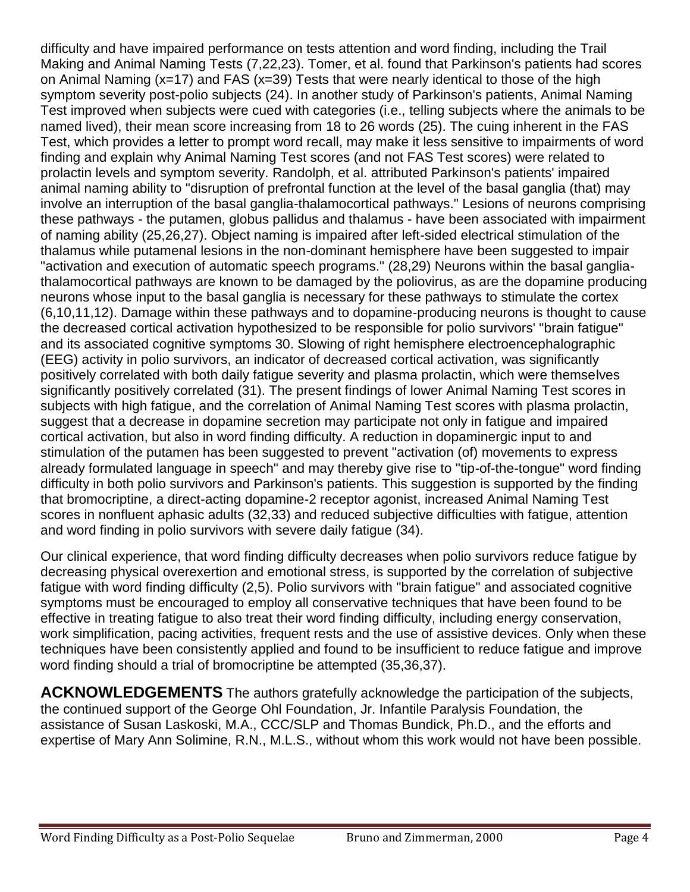difficulty and have impaired performance on tests attention and word finding, including the Trail Making and Animal Naming Tests (7,22,23). Tomer, et al. found that Parkinson's patients had scores on Animal Naming (x=17) and FAS (x=39) Tests that were nearly identical to those of the high symptom severity post-polio subjects (24). In another study of Parkinson's patients, Animal Naming Test improved when subjects were cued with categories (i.e., telling subjects where the animals to be named lived), their mean score increasing from 18 to 26 words (25). The cuing inherent in the FAS Test, which provides a letter to prompt word recall, may make it less sensitive to impairments of word finding and explain why Animal Naming Test scores (and not FAS Test scores) were related to prolactin levels and symptom severity. Randolph, et al. attributed Parkinson's patients' impaired animal naming ability to "disruption of prefrontal function at the level of the basal ganglia (that) may involve an interruption of the basal ganglia-thalamocortical pathways." Lesions of neurons comprising these pathways - the putamen, globus pallidus and thalamus - have been associated with impairment of naming ability (25,26,27). Object naming is impaired after left-sided electrical stimulation of the thalamus while putamenal lesions in the non-dominant hemisphere have been suggested to impair "activation and execution of automatic speech programs." (28,29) Neurons within the basal gangliathalamocortical pathways are known to be damaged by the poliovirus, as are the dopamine producing neurons whose input to the basal ganglia is necessary for these pathways to stimulate the cortex (6,10,11,12). Damage within these pathways and to dopamine-producing neurons is thought to cause the decreased cortical activation hypothesized to be responsible for polio survivors' "brain fatigue" and its associated cognitive symptoms 30. Slowing of right hemisphere electroencephalographic (EEG) activity in polio survivors, an indicator of decreased cortical activation, was significantly positively correlated with both daily fatigue severity and plasma prolactin, which were themselves significantly positively correlated (31). The present findings of lower Animal Naming Test scores in subjects with high fatigue, and the correlation of Animal Naming Test scores with plasma prolactin, suggest that a decrease in dopamine secretion may participate not only in fatigue and impaired cortical activation, but also in word finding difficulty. A reduction in dopaminergic input to and stimulation of the putamen has been suggested to prevent "activation (of) movements to express already formulated language in speech" and may thereby give rise to "tip-of-the-tongue" word finding difficulty in both polio survivors and Parkinson's patients. This suggestion is supported by the finding that bromocriptine, a direct-acting dopamine-2 receptor agonist, increased Animal Naming Test scores in nonfluent aphasic adults (32,33) and reduced subjective difficulties with fatigue, attention and word finding in polio survivors with severe daily fatigue (34).

Our clinical experience, that word finding difficulty decreases when polio survivors reduce fatigue by decreasing physical overexertion and emotional stress, is supported by the correlation of subjective fatigue with word finding difficulty (2,5). Polio survivors with "brain fatigue" and associated cognitive symptoms must be encouraged to employ all conservative techniques that have been found to be effective in treating fatigue to also treat their word finding difficulty, including energy conservation, work simplification, pacing activities, frequent rests and the use of assistive devices. Only when these techniques have been consistently applied and found to be insufficient to reduce fatigue and improve word finding should a trial of bromocriptine be attempted (35,36,37).

**ACKNOWLEDGEMENTS** The authors gratefully acknowledge the participation of the subjects, the continued support of the George Ohl Foundation, Jr. Infantile Paralysis Foundation, the assistance of Susan Laskoski, M.A., CCC/SLP and Thomas Bundick, Ph.D., and the efforts and expertise of Mary Ann Solimine, R.N., M.L.S., without whom this work would not have been possible.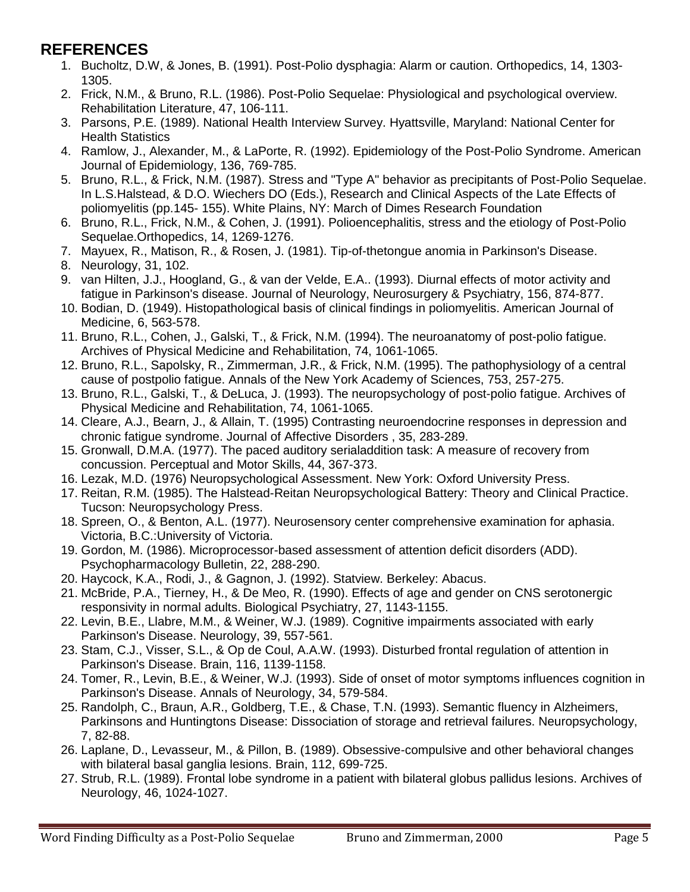#### **REFERENCES**

- 1. Bucholtz, D.W, & Jones, B. (1991). Post-Polio dysphagia: Alarm or caution. Orthopedics, 14, 1303- 1305.
- 2. Frick, N.M., & Bruno, R.L. (1986). Post-Polio Sequelae: Physiological and psychological overview. Rehabilitation Literature, 47, 106-111.
- 3. Parsons, P.E. (1989). National Health Interview Survey. Hyattsville, Maryland: National Center for Health Statistics
- 4. Ramlow, J., Alexander, M., & LaPorte, R. (1992). Epidemiology of the Post-Polio Syndrome. American Journal of Epidemiology, 136, 769-785.
- 5. Bruno, R.L., & Frick, N.M. (1987). Stress and "Type A" behavior as precipitants of Post-Polio Sequelae. In L.S.Halstead, & D.O. Wiechers DO (Eds.), Research and Clinical Aspects of the Late Effects of poliomyelitis (pp.145- 155). White Plains, NY: March of Dimes Research Foundation
- 6. Bruno, R.L., Frick, N.M., & Cohen, J. (1991). Polioencephalitis, stress and the etiology of Post-Polio Sequelae.Orthopedics, 14, 1269-1276.
- 7. Mayuex, R., Matison, R., & Rosen, J. (1981). Tip-of-thetongue anomia in Parkinson's Disease.
- 8. Neurology, 31, 102.
- 9. van Hilten, J.J., Hoogland, G., & van der Velde, E.A.. (1993). Diurnal effects of motor activity and fatigue in Parkinson's disease. Journal of Neurology, Neurosurgery & Psychiatry, 156, 874-877.
- 10. Bodian, D. (1949). Histopathological basis of clinical findings in poliomyelitis. American Journal of Medicine, 6, 563-578.
- 11. Bruno, R.L., Cohen, J., Galski, T., & Frick, N.M. (1994). The neuroanatomy of post-polio fatigue. Archives of Physical Medicine and Rehabilitation, 74, 1061-1065.
- 12. Bruno, R.L., Sapolsky, R., Zimmerman, J.R., & Frick, N.M. (1995). The pathophysiology of a central cause of postpolio fatigue. Annals of the New York Academy of Sciences, 753, 257-275.
- 13. Bruno, R.L., Galski, T., & DeLuca, J. (1993). The neuropsychology of post-polio fatigue. Archives of Physical Medicine and Rehabilitation, 74, 1061-1065.
- 14. Cleare, A.J., Bearn, J., & Allain, T. (1995) Contrasting neuroendocrine responses in depression and chronic fatigue syndrome. Journal of Affective Disorders , 35, 283-289.
- 15. Gronwall, D.M.A. (1977). The paced auditory serialaddition task: A measure of recovery from concussion. Perceptual and Motor Skills, 44, 367-373.
- 16. Lezak, M.D. (1976) Neuropsychological Assessment. New York: Oxford University Press.
- 17. Reitan, R.M. (1985). The Halstead-Reitan Neuropsychological Battery: Theory and Clinical Practice. Tucson: Neuropsychology Press.
- 18. Spreen, O., & Benton, A.L. (1977). Neurosensory center comprehensive examination for aphasia. Victoria, B.C.:University of Victoria.
- 19. Gordon, M. (1986). Microprocessor-based assessment of attention deficit disorders (ADD). Psychopharmacology Bulletin, 22, 288-290.
- 20. Haycock, K.A., Rodi, J., & Gagnon, J. (1992). Statview. Berkeley: Abacus.
- 21. McBride, P.A., Tierney, H., & De Meo, R. (1990). Effects of age and gender on CNS serotonergic responsivity in normal adults. Biological Psychiatry, 27, 1143-1155.
- 22. Levin, B.E., Llabre, M.M., & Weiner, W.J. (1989). Cognitive impairments associated with early Parkinson's Disease. Neurology, 39, 557-561.
- 23. Stam, C.J., Visser, S.L., & Op de Coul, A.A.W. (1993). Disturbed frontal regulation of attention in Parkinson's Disease. Brain, 116, 1139-1158.
- 24. Tomer, R., Levin, B.E., & Weiner, W.J. (1993). Side of onset of motor symptoms influences cognition in Parkinson's Disease. Annals of Neurology, 34, 579-584.
- 25. Randolph, C., Braun, A.R., Goldberg, T.E., & Chase, T.N. (1993). Semantic fluency in Alzheimers, Parkinsons and Huntingtons Disease: Dissociation of storage and retrieval failures. Neuropsychology, 7, 82-88.
- 26. Laplane, D., Levasseur, M., & Pillon, B. (1989). Obsessive-compulsive and other behavioral changes with bilateral basal ganglia lesions. Brain, 112, 699-725.
- 27. Strub, R.L. (1989). Frontal lobe syndrome in a patient with bilateral globus pallidus lesions. Archives of Neurology, 46, 1024-1027.